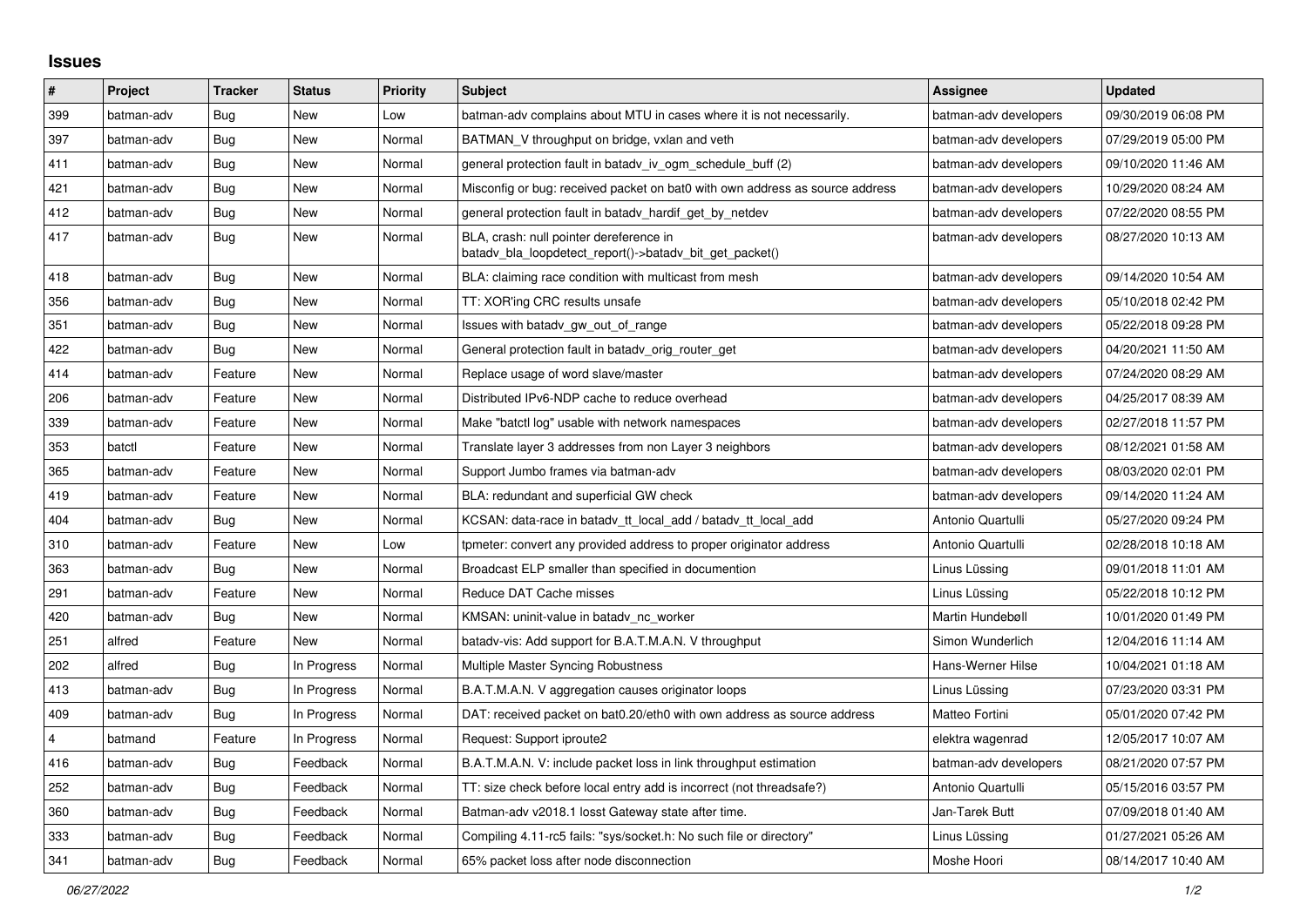## **Issues**

| $\vert$ # | Project    | <b>Tracker</b> | <b>Status</b> | <b>Priority</b> | <b>Subject</b>                                                                                     | Assignee              | <b>Updated</b>      |
|-----------|------------|----------------|---------------|-----------------|----------------------------------------------------------------------------------------------------|-----------------------|---------------------|
| 399       | batman-adv | Bug            | <b>New</b>    | Low             | batman-adv complains about MTU in cases where it is not necessarily.                               | batman-adv developers | 09/30/2019 06:08 PM |
| 397       | batman-adv | Bug            | New           | Normal          | BATMAN V throughput on bridge, vxlan and veth                                                      | batman-adv developers | 07/29/2019 05:00 PM |
| 411       | batman-adv | Bug            | <b>New</b>    | Normal          | general protection fault in batady iv ogm_schedule_buff (2)                                        | batman-adv developers | 09/10/2020 11:46 AM |
| 421       | batman-adv | Bug            | New           | Normal          | Misconfig or bug: received packet on bat0 with own address as source address                       | batman-adv developers | 10/29/2020 08:24 AM |
| 412       | batman-adv | Bug            | New           | Normal          | general protection fault in batady hardif get by netdev                                            | batman-adv developers | 07/22/2020 08:55 PM |
| 417       | batman-adv | Bug            | New           | Normal          | BLA, crash: null pointer dereference in<br>batady bla loopdetect report()->batady bit get packet() | batman-adv developers | 08/27/2020 10:13 AM |
| 418       | batman-adv | <b>Bug</b>     | <b>New</b>    | Normal          | BLA: claiming race condition with multicast from mesh                                              | batman-adv developers | 09/14/2020 10:54 AM |
| 356       | batman-adv | Bug            | <b>New</b>    | Normal          | TT: XOR'ing CRC results unsafe                                                                     | batman-adv developers | 05/10/2018 02:42 PM |
| 351       | batman-adv | Bug            | <b>New</b>    | Normal          | Issues with batady gw out of range                                                                 | batman-adv developers | 05/22/2018 09:28 PM |
| 422       | batman-adv | Bug            | New           | Normal          | General protection fault in batady orig router get                                                 | batman-adv developers | 04/20/2021 11:50 AM |
| 414       | batman-adv | Feature        | New           | Normal          | Replace usage of word slave/master                                                                 | batman-adv developers | 07/24/2020 08:29 AM |
| 206       | batman-adv | Feature        | <b>New</b>    | Normal          | Distributed IPv6-NDP cache to reduce overhead                                                      | batman-adv developers | 04/25/2017 08:39 AM |
| 339       | batman-adv | Feature        | New           | Normal          | Make "batctl log" usable with network namespaces                                                   | batman-adv developers | 02/27/2018 11:57 PM |
| 353       | batctl     | Feature        | <b>New</b>    | Normal          | Translate layer 3 addresses from non Layer 3 neighbors                                             | batman-adv developers | 08/12/2021 01:58 AM |
| 365       | batman-adv | Feature        | New           | Normal          | Support Jumbo frames via batman-adv                                                                | batman-adv developers | 08/03/2020 02:01 PM |
| 419       | batman-adv | Feature        | New           | Normal          | BLA: redundant and superficial GW check                                                            | batman-adv developers | 09/14/2020 11:24 AM |
| 404       | batman-adv | Bug            | New           | Normal          | KCSAN: data-race in batady tt local add / batady tt local add                                      | Antonio Quartulli     | 05/27/2020 09:24 PM |
| 310       | batman-adv | Feature        | <b>New</b>    | Low             | tpmeter: convert any provided address to proper originator address                                 | Antonio Quartulli     | 02/28/2018 10:18 AM |
| 363       | batman-adv | Bug            | New           | Normal          | Broadcast ELP smaller than specified in documention                                                | Linus Lüssing         | 09/01/2018 11:01 AM |
| 291       | batman-adv | Feature        | New           | Normal          | Reduce DAT Cache misses                                                                            | Linus Lüssing         | 05/22/2018 10:12 PM |
| 420       | batman-adv | Bug            | New           | Normal          | KMSAN: uninit-value in batady nc worker                                                            | Martin Hundebøll      | 10/01/2020 01:49 PM |
| 251       | alfred     | Feature        | New           | Normal          | batady-vis: Add support for B.A.T.M.A.N. V throughput                                              | Simon Wunderlich      | 12/04/2016 11:14 AM |
| 202       | alfred     | Bug            | In Progress   | Normal          | Multiple Master Syncing Robustness                                                                 | Hans-Werner Hilse     | 10/04/2021 01:18 AM |
| 413       | batman-adv | Bug            | In Progress   | Normal          | B.A.T.M.A.N. V aggregation causes originator loops                                                 | Linus Lüssing         | 07/23/2020 03:31 PM |
| 409       | batman-adv | Bug            | In Progress   | Normal          | DAT: received packet on bat0.20/eth0 with own address as source address                            | Matteo Fortini        | 05/01/2020 07:42 PM |
| 4         | batmand    | Feature        | In Progress   | Normal          | Request: Support iproute2                                                                          | elektra wagenrad      | 12/05/2017 10:07 AM |
| 416       | batman-adv | <b>Bug</b>     | Feedback      | Normal          | B.A.T.M.A.N. V: include packet loss in link throughput estimation                                  | batman-adv developers | 08/21/2020 07:57 PM |
| 252       | batman-adv | Bug            | Feedback      | Normal          | TT: size check before local entry add is incorrect (not threadsafe?)                               | Antonio Quartulli     | 05/15/2016 03:57 PM |
| 360       | batman-adv | Bug            | Feedback      | Normal          | Batman-adv v2018.1 losst Gateway state after time.                                                 | Jan-Tarek Butt        | 07/09/2018 01:40 AM |
| 333       | batman-adv | <b>Bug</b>     | Feedback      | Normal          | Compiling 4.11-rc5 fails: "sys/socket.h: No such file or directory"                                | Linus Lüssing         | 01/27/2021 05:26 AM |
| 341       | batman-adv | <b>Bug</b>     | Feedback      | Normal          | 65% packet loss after node disconnection                                                           | Moshe Hoori           | 08/14/2017 10:40 AM |